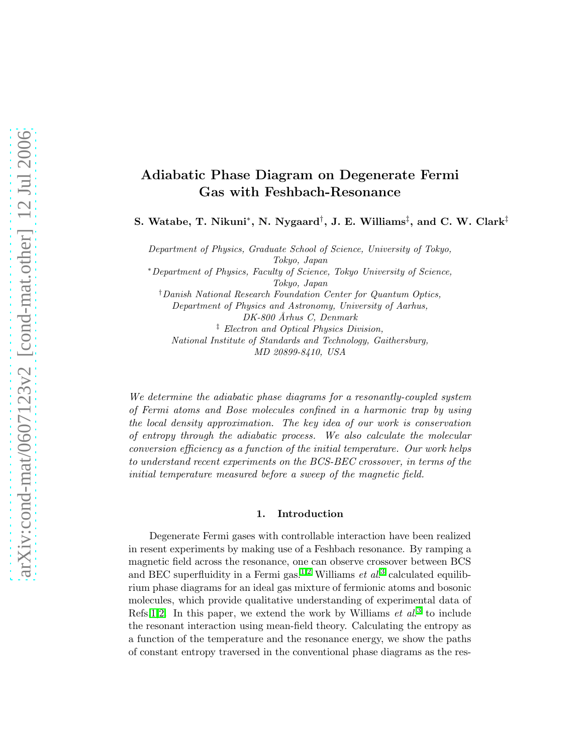# Adiabatic Phase Diagram on Degenerate Fermi Gas with Feshbach-Resonance

S. Watabe, T. Nikuni\*, N. Nygaard $^\dagger,$  J. E. Williams $^\ddagger,$  and C. W. Clark $^\ddagger$ 

Department of Physics, Graduate School of Science, University of Tokyo, Tokyo, Japan

<sup>∗</sup>Department of Physics, Faculty of Science, Tokyo University of Science, Tokyo, Japan

†Danish National Research Foundation Center for Quantum Optics, Department of Physics and Astronomy, University of Aarhus, DK-800 Århus C, Denmark ‡ Electron and Optical Physics Division, National Institute of Standards and Technology, Gaithersburg, MD 20899-8410, USA

We determine the adiabatic phase diagrams for a resonantly-coupled system of Fermi atoms and Bose molecules confined in a harmonic trap by using the local density approximation. The key idea of our work is conservation of entropy through the adiabatic process. We also calculate the molecular conversion efficiency as a function of the initial temperature. Our work helps to understand recent experiments on the BCS-BEC crossover, in terms of the initial temperature measured before a sweep of the magnetic field.

#### 1. Introduction

Degenerate Fermi gases with controllable interaction have been realized in resent experiments by making use of a Feshbach resonance. By ramping a magnetic field across the resonance, one can observe crossover between BCS and BEC superfluidity in a Fermi gas.<sup>[1,](#page-5-0)[2](#page-5-1)</sup> Williams  $et$   $al$ <sup>[3](#page-5-2)</sup> calculated equilibrium phase diagrams for an ideal gas mixture of fermionic atoms and bosonic molecules, which provide qualitative understanding of experimental data of Refs[.1](#page-5-0)[,2.](#page-5-1) In this paper, we extend the work by Williams  $et\ al.^3$  $et\ al.^3$  to include the resonant interaction using mean-field theory. Calculating the entropy as a function of the temperature and the resonance energy, we show the paths of constant entropy traversed in the conventional phase diagrams as the res-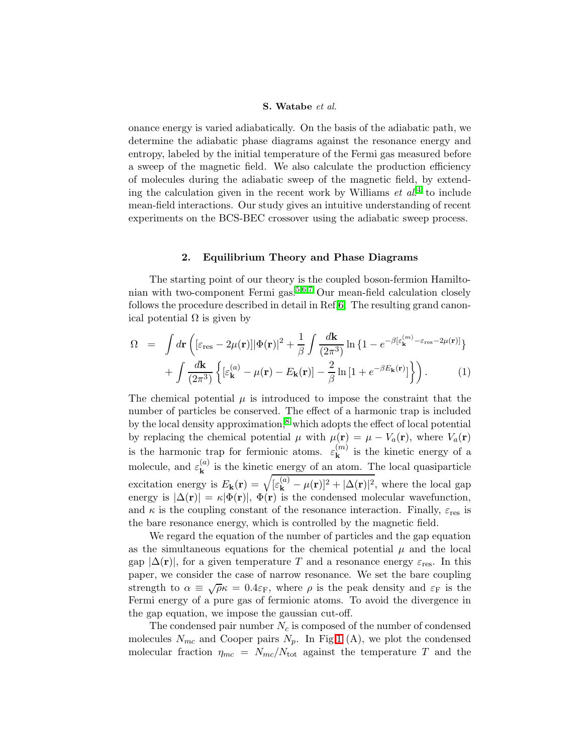#### S. Watabe et al.

onance energy is varied adiabatically. On the basis of the adiabatic path, we determine the adiabatic phase diagrams against the resonance energy and entropy, labeled by the initial temperature of the Fermi gas measured before a sweep of the magnetic field. We also calculate the production efficiency of molecules during the adiabatic sweep of the magnetic field, by extending the calculation given in the recent work by Williams  $et\ al.^4$  $et\ al.^4$  to include mean-field interactions. Our study gives an intuitive understanding of recent experiments on the BCS-BEC crossover using the adiabatic sweep process.

# 2. Equilibrium Theory and Phase Diagrams

The starting point of our theory is the coupled boson-fermion Hamilto-nian with two-component Fermi gas.<sup>[5](#page-5-4)[,6,](#page-5-5)[7](#page-5-6)</sup> Our mean-field calculation closely follows the procedure described in detail in Ref[.6.](#page-5-5) The resulting grand canonical potential  $\Omega$  is given by

$$
\Omega = \int d\mathbf{r} \left( [\varepsilon_{\rm res} - 2\mu(\mathbf{r})] |\Phi(\mathbf{r})|^2 + \frac{1}{\beta} \int \frac{d\mathbf{k}}{(2\pi^3)} \ln \{ 1 - e^{-\beta [\varepsilon_{\mathbf{k}}^{(m)} - \varepsilon_{\rm res} - 2\mu(\mathbf{r})]} \} + \int \frac{d\mathbf{k}}{(2\pi^3)} \left\{ [\varepsilon_{\mathbf{k}}^{(a)} - \mu(\mathbf{r}) - E_{\mathbf{k}}(\mathbf{r})] - \frac{2}{\beta} \ln \left[ 1 + e^{-\beta E_{\mathbf{k}}(\mathbf{r})} \right] \right\} \right). \tag{1}
$$

The chemical potential  $\mu$  is introduced to impose the constraint that the number of particles be conserved. The effect of a harmonic trap is included by the local density approximation, $\delta$  which adopts the effect of local potential by replacing the chemical potential  $\mu$  with  $\mu(\mathbf{r}) = \mu - V_a(\mathbf{r})$ , where  $V_a(\mathbf{r})$ is the harmonic trap for fermionic atoms.  $\varepsilon_{\mathbf{k}}^{(m)}$  is the kinetic energy of a molecule, and  $\varepsilon_{\mathbf{k}}^{(a)}$  is the kinetic energy of an atom. The local quasiparticle excitation energy is  $E_{\mathbf{k}}(\mathbf{r}) = \sqrt{[\varepsilon_{\mathbf{k}}^{(a)} - \mu(\mathbf{r})]^2 + |\Delta(\mathbf{r})|^2}$ , where the local gap energy is  $|\Delta(\mathbf{r})| = \kappa |\Phi(\mathbf{r})|$ ,  $\Phi(\mathbf{r})$  is the condensed molecular wavefunction, and  $\kappa$  is the coupling constant of the resonance interaction. Finally,  $\varepsilon_{res}$  is the bare resonance energy, which is controlled by the magnetic field.

We regard the equation of the number of particles and the gap equation as the simultaneous equations for the chemical potential  $\mu$  and the local gap  $|\Delta(\mathbf{r})|$ , for a given temperature T and a resonance energy  $\varepsilon_{\text{res}}$ . In this paper, we consider the case of narrow resonance. We set the bare coupling strength to  $\alpha \equiv \sqrt{\rho} \kappa = 0.4 \varepsilon_F$ , where  $\rho$  is the peak density and  $\varepsilon_F$  is the Fermi energy of a pure gas of fermionic atoms. To avoid the divergence in the gap equation, we impose the gaussian cut-off.

The condensed pair number  $N_c$  is composed of the number of condensed molecules  $N_{mc}$  and Cooper pairs  $N_p$ . In Fig[.1](#page-2-0) (A), we plot the condensed molecular fraction  $\eta_{mc} = N_{mc}/N_{\text{tot}}$  against the temperature T and the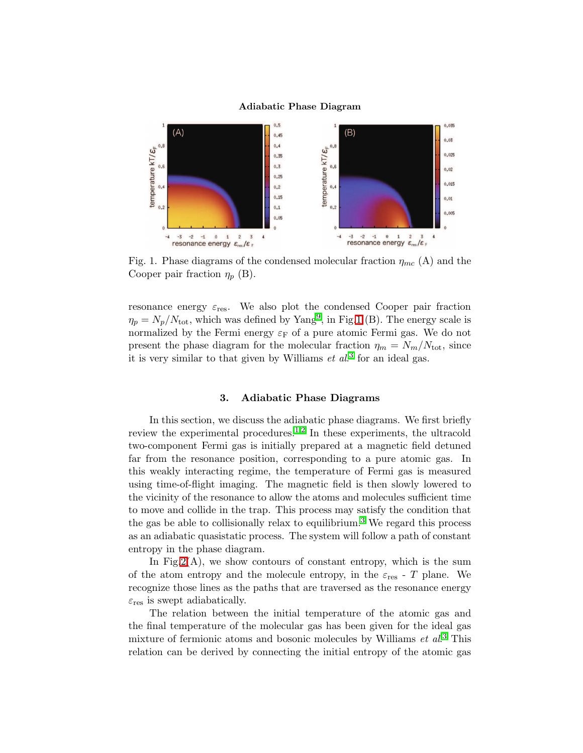#### Adiabatic Phase Diagram



<span id="page-2-0"></span>Fig. 1. Phase diagrams of the condensed molecular fraction  $\eta_{mc}(A)$  and the Cooper pair fraction  $\eta_p$  (B).

resonance energy  $\varepsilon_{\text{res}}$ . We also plot the condensed Cooper pair fraction  $\eta_p = N_p/N_{\text{tot}}$ , which was defined by Yang<sup>[9](#page-5-8)</sup>, in Fig[.1](#page-2-0) (B). The energy scale is normalized by the Fermi energy  $\varepsilon_F$  of a pure atomic Fermi gas. We do not present the phase diagram for the molecular fraction  $\eta_m = N_m/N_{\text{tot}}$ , since it is very similar to that given by Williams  $et\ al.^3$  $et\ al.^3$  for an ideal gas.

# 3. Adiabatic Phase Diagrams

In this section, we discuss the adiabatic phase diagrams. We first briefly review the experimental procedures.<sup>[1](#page-5-0)[,2](#page-5-1)</sup> In these experiments, the ultracold two-component Fermi gas is initially prepared at a magnetic field detuned far from the resonance position, corresponding to a pure atomic gas. In this weakly interacting regime, the temperature of Fermi gas is measured using time-of-flight imaging. The magnetic field is then slowly lowered to the vicinity of the resonance to allow the atoms and molecules sufficient time to move and collide in the trap. This process may satisfy the condition that the gas be able to collisionally relax to equilibrium.<sup>[3](#page-5-2)</sup> We regard this process as an adiabatic quasistatic process. The system will follow a path of constant entropy in the phase diagram.

In Fig.  $2(A)$ , we show contours of constant entropy, which is the sum of the atom entropy and the molecule entropy, in the  $\varepsilon_{\text{res}}$  - T plane. We recognize those lines as the paths that are traversed as the resonance energy  $\varepsilon_{\text{res}}$  is swept adiabatically.

The relation between the initial temperature of the atomic gas and the final temperature of the molecular gas has been given for the ideal gas mixture of fermionic atoms and bosonic molecules by Williams  $et \ al^{3}$  $et \ al^{3}$  $et \ al^{3}$  This relation can be derived by connecting the initial entropy of the atomic gas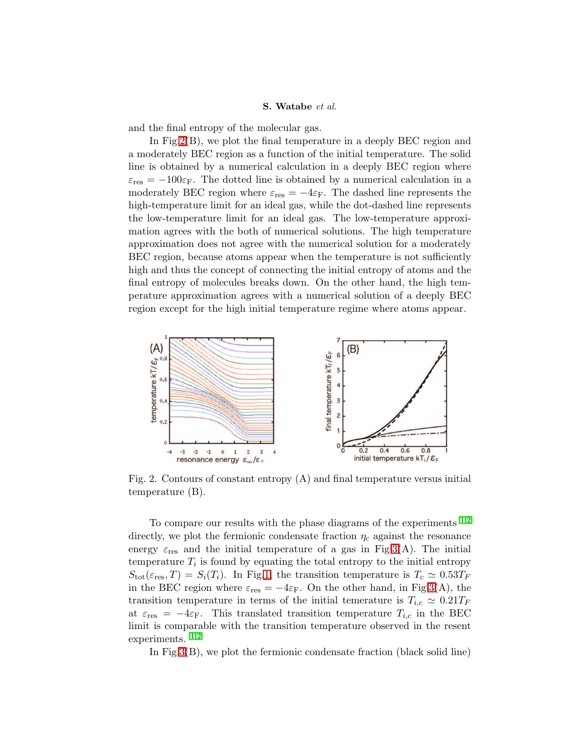#### S. Watabe et al.

and the final entropy of the molecular gas.

In Fig. 2(B), we plot the final temperature in a deeply BEC region and a moderately BEC region as a function of the initial temperature. The solid line is obtained by a numerical calculation in a deeply BEC region where  $\varepsilon_{\text{res}} = -100 \varepsilon_{\text{F}}$ . The dotted line is obtained by a numerical calculation in a moderately BEC region where  $\varepsilon_{res} = -4\varepsilon_{\rm F}$ . The dashed line represents the high-temperature limit for an ideal gas, while the dot-dashed line represents the low-temperature limit for an ideal gas. The low-temperature approximation agrees with the both of numerical solutions. The high temperature approximation does not agree with the numerical solution for a moderately BEC region, because atoms appear when the temperature is not sufficiently high and thus the concept of connecting the initial entropy of atoms and the final entropy of molecules breaks down. On the other hand, the high temperature approximation agrees with a numerical solution of a deeply BEC region except for the high initial temperature regime where atoms appear.



<span id="page-3-0"></span>Fig. 2. Contours of constant entropy  $(A)$  and final temperature versus initial temperature (B).

To compare our results with the phase diagrams of the experiments  $1,2$  $1,2$ directly, we plot the fermionic condensate fraction  $\eta_c$  against the resonance energy  $\varepsilon_{\text{res}}$  and the initial temperature of a gas in Fig[.3\(](#page-4-0)A). The initial temperature  $T_i$  is found by equating the total entropy to the initial entropy  $S_{\text{tot}}(\varepsilon_{\text{res}}, T) = S_i(T_i)$ . In Fig[.1,](#page-2-0) the transition temperature is  $T_c \simeq 0.53T_F$ in the BEC region where  $\varepsilon_{res} = -4\varepsilon_{\rm F}$ . On the other hand, in Fig[.3\(](#page-4-0)A), the transition temperature in terms of the initial temerature is  $T_{i,c} \simeq 0.21 T_F$ at  $\varepsilon_{\text{res}} = -4\varepsilon_{\text{F}}$ . This translated transition temperature  $T_{i,c}$  in the BEC limit is comparable with the transition temperature observed in the resent experiments. [1](#page-5-0)[,2](#page-5-1)

In Fig[.3\(](#page-4-0)B), we plot the fermionic condensate fraction (black solid line)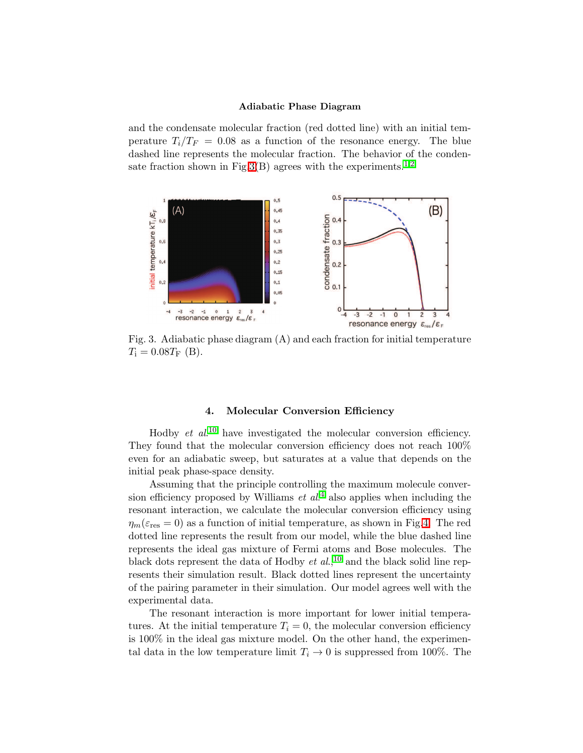#### Adiabatic Phase Diagram

and the condensate molecular fraction (red dotted line) with an initial temperature  $T_i/T_F = 0.08$  as a function of the resonance energy. The blue dashed line represents the molecular fraction. The behavior of the conden-sate fraction shown in Fig[.3\(](#page-4-0)B) agrees with the experiments.<sup>[1,](#page-5-0)[2](#page-5-1)</sup>



<span id="page-4-0"></span>Fig. 3. Adiabatic phase diagram (A) and each fraction for initial temperature  $T_{\rm i} = 0.08 T_{\rm F}$  (B).

### 4. Molecular Conversion Efficiency

Hodby *et al.*<sup>[10](#page-5-9)</sup> have investigated the molecular conversion efficiency. They found that the molecular conversion efficiency does not reach 100% even for an adiabatic sweep, but saturates at a value that depends on the initial peak phase-space density.

Assuming that the principle controlling the maximum molecule conversion efficiency proposed by Williams  $et$   $al$ <sup>[4](#page-5-3)</sup> also applies when including the resonant interaction, we calculate the molecular conversion efficiency using  $\eta_m(\varepsilon_{\text{res}} = 0)$  as a function of initial temperature, as shown in Fig[.4.](#page-5-10) The red dotted line represents the result from our model, while the blue dashed line represents the ideal gas mixture of Fermi atoms and Bose molecules. The black dots represent the data of Hodby  $et al.<sup>10</sup>$  $et al.<sup>10</sup>$  $et al.<sup>10</sup>$  and the black solid line represents their simulation result. Black dotted lines represent the uncertainty of the pairing parameter in their simulation. Our model agrees well with the experimental data.

The resonant interaction is more important for lower initial temperatures. At the initial temperature  $T_i = 0$ , the molecular conversion efficiency is 100% in the ideal gas mixture model. On the other hand, the experimental data in the low temperature limit  $T_i \rightarrow 0$  is suppressed from 100%. The